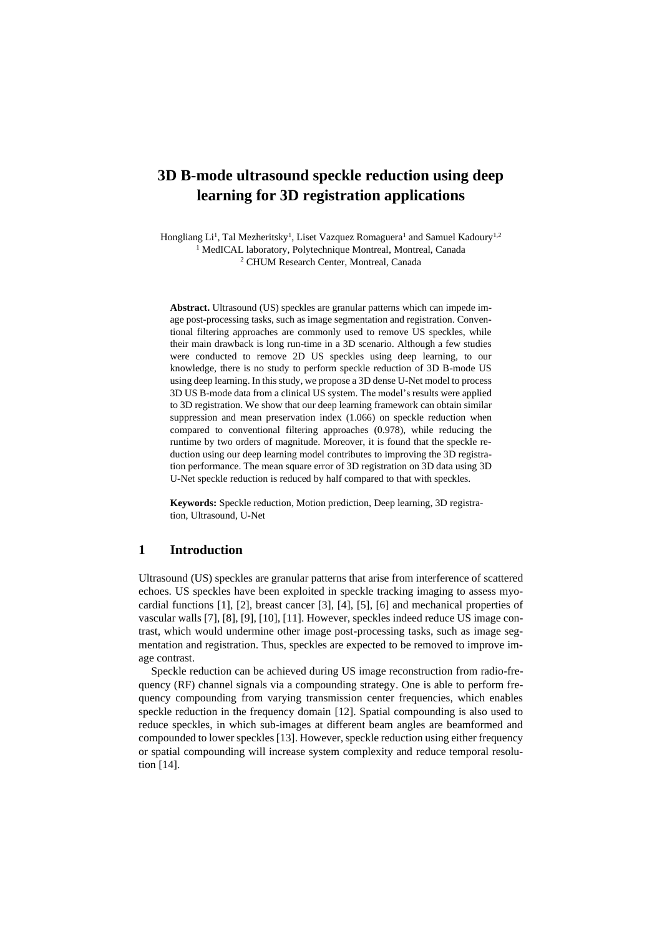# **3D B-mode ultrasound speckle reduction using deep learning for 3D registration applications**

Hongliang Li<sup>1</sup>, Tal Mezheritsky<sup>1</sup>, Liset Vazquez Romaguera<sup>1</sup> and Samuel Kadoury<sup>1,2</sup> <sup>1</sup> MedICAL laboratory, Polytechnique Montreal, Montreal, Canada <sup>2</sup> CHUM Research Center, Montreal, Canada

**Abstract.** Ultrasound (US) speckles are granular patterns which can impede image post-processing tasks, such as image segmentation and registration. Conventional filtering approaches are commonly used to remove US speckles, while their main drawback is long run-time in a 3D scenario. Although a few studies were conducted to remove 2D US speckles using deep learning, to our knowledge, there is no study to perform speckle reduction of 3D B-mode US using deep learning. In this study, we propose a 3D dense U-Net model to process 3D US B-mode data from a clinical US system. The model's results were applied to 3D registration. We show that our deep learning framework can obtain similar suppression and mean preservation index (1.066) on speckle reduction when compared to conventional filtering approaches (0.978), while reducing the runtime by two orders of magnitude. Moreover, it is found that the speckle reduction using our deep learning model contributes to improving the 3D registration performance. The mean square error of 3D registration on 3D data using 3D U-Net speckle reduction is reduced by half compared to that with speckles.

**Keywords:** Speckle reduction, Motion prediction, Deep learning, 3D registration, Ultrasound, U-Net

# **1 Introduction**

Ultrasound (US) speckles are granular patterns that arise from interference of scattered echoes. US speckles have been exploited in speckle tracking imaging to assess myocardial functions [1], [2], breast cancer [3], [4], [5], [6] and mechanical properties of vascular walls [7], [8], [9], [10], [11]. However, speckles indeed reduce US image contrast, which would undermine other image post-processing tasks, such as image segmentation and registration. Thus, speckles are expected to be removed to improve image contrast.

Speckle reduction can be achieved during US image reconstruction from radio-frequency (RF) channel signals via a compounding strategy. One is able to perform frequency compounding from varying transmission center frequencies, which enables speckle reduction in the frequency domain [12]. Spatial compounding is also used to reduce speckles, in which sub-images at different beam angles are beamformed and compounded to lower speckles[13]. However, speckle reduction using either frequency or spatial compounding will increase system complexity and reduce temporal resolution [14].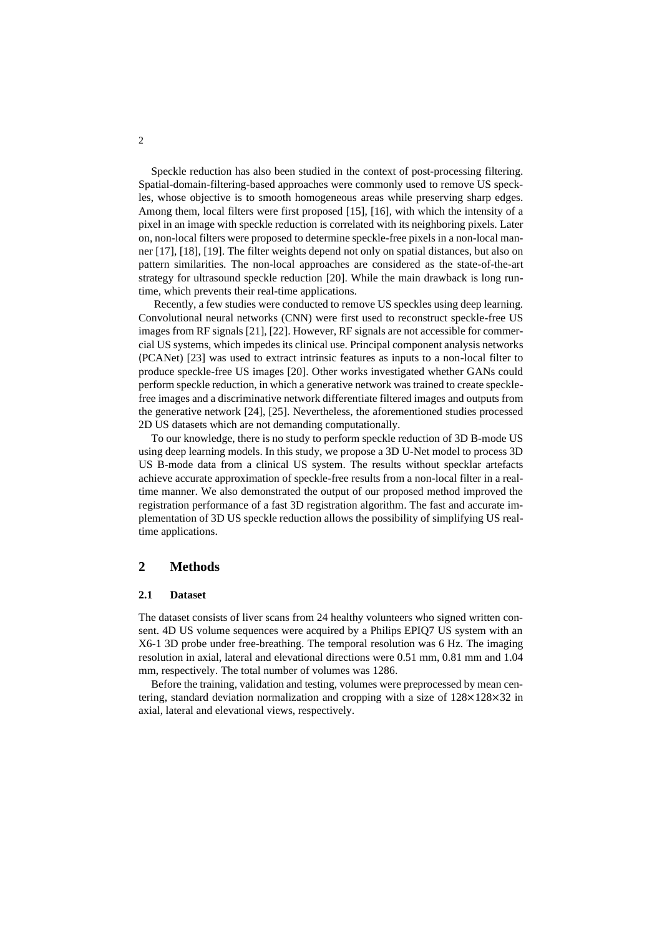Speckle reduction has also been studied in the context of post-processing filtering. Spatial-domain-filtering-based approaches were commonly used to remove US speckles, whose objective is to smooth homogeneous areas while preserving sharp edges. Among them, local filters were first proposed [15], [16], with which the intensity of a pixel in an image with speckle reduction is correlated with its neighboring pixels. Later on, non-local filters were proposed to determine speckle-free pixels in a non-local manner [17], [18], [19]. The filter weights depend not only on spatial distances, but also on pattern similarities. The non-local approaches are considered as the state-of-the-art strategy for ultrasound speckle reduction [20]. While the main drawback is long runtime, which prevents their real-time applications.

Recently, a few studies were conducted to remove US speckles using deep learning. Convolutional neural networks (CNN) were first used to reconstruct speckle-free US images from RF signals [21], [22]. However, RF signals are not accessible for commercial US systems, which impedes its clinical use. Principal component analysis networks (PCANet) [23] was used to extract intrinsic features as inputs to a non-local filter to produce speckle-free US images [20]. Other works investigated whether GANs could perform speckle reduction, in which a generative network was trained to create specklefree images and a discriminative network differentiate filtered images and outputs from the generative network [24], [25]. Nevertheless, the aforementioned studies processed 2D US datasets which are not demanding computationally.

To our knowledge, there is no study to perform speckle reduction of 3D B-mode US using deep learning models. In this study, we propose a 3D U-Net model to process 3D US B-mode data from a clinical US system. The results without specklar artefacts achieve accurate approximation of speckle-free results from a non-local filter in a realtime manner. We also demonstrated the output of our proposed method improved the registration performance of a fast 3D registration algorithm. The fast and accurate implementation of 3D US speckle reduction allows the possibility of simplifying US realtime applications.

# **2 Methods**

### **2.1 Dataset**

The dataset consists of liver scans from 24 healthy volunteers who signed written consent. 4D US volume sequences were acquired by a Philips EPIQ7 US system with an X6-1 3D probe under free-breathing. The temporal resolution was 6 Hz. The imaging resolution in axial, lateral and elevational directions were 0.51 mm, 0.81 mm and 1.04 mm, respectively. The total number of volumes was 1286.

Before the training, validation and testing, volumes were preprocessed by mean centering, standard deviation normalization and cropping with a size of 128×128×32 in axial, lateral and elevational views, respectively.

2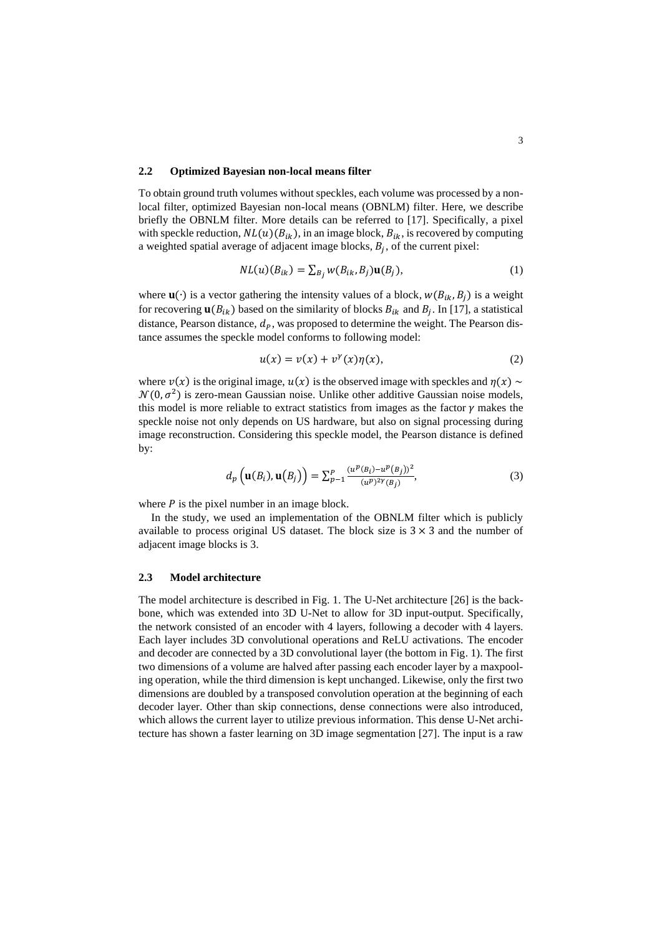### **2.2 Optimized Bayesian non-local means filter**

To obtain ground truth volumes without speckles, each volume was processed by a nonlocal filter, optimized Bayesian non-local means (OBNLM) filter. Here, we describe briefly the OBNLM filter. More details can be referred to [17]. Specifically, a pixel with speckle reduction,  $NL(u)(B_{ik})$ , in an image block,  $B_{ik}$ , is recovered by computing a weighted spatial average of adjacent image blocks,  $B_j$ , of the current pixel:

$$
NL(u)(B_{ik}) = \sum_{B_j} w(B_{ik}, B_j) \mathbf{u}(B_j),
$$
\n(1)

where  $\mathbf{u}(\cdot)$  is a vector gathering the intensity values of a block,  $w(B_{ik}, B_i)$  is a weight for recovering  $\mathbf{u}(B_{ik})$  based on the similarity of blocks  $B_{ik}$  and  $B_j$ . In [17], a statistical distance, Pearson distance,  $d_p$ , was proposed to determine the weight. The Pearson distance assumes the speckle model conforms to following model:

$$
u(x) = v(x) + v^{\gamma}(x)\eta(x), \qquad (2)
$$

where  $v(x)$  is the original image,  $u(x)$  is the observed image with speckles and  $\eta(x) \sim$  $\mathcal{N}(0, \sigma^2)$  is zero-mean Gaussian noise. Unlike other additive Gaussian noise models, this model is more reliable to extract statistics from images as the factor  $\gamma$  makes the speckle noise not only depends on US hardware, but also on signal processing during image reconstruction. Considering this speckle model, the Pearson distance is defined by:

$$
d_p\left(\mathbf{u}(B_i), \mathbf{u}(B_j)\right) = \sum_{p=1}^p \frac{(u^p(B_i) - u^p(B_j))^2}{(u^p)^{2\gamma}(B_j)},
$$
\n(3)

where  $P$  is the pixel number in an image block.

In the study, we used an implementation of the OBNLM filter which is publicly available to process original US dataset. The block size is  $3 \times 3$  and the number of adjacent image blocks is 3.

## **2.3 Model architecture**

The model architecture is described in Fig. 1. The U-Net architecture [26] is the backbone, which was extended into 3D U-Net to allow for 3D input-output. Specifically, the network consisted of an encoder with 4 layers, following a decoder with 4 layers. Each layer includes 3D convolutional operations and ReLU activations. The encoder and decoder are connected by a 3D convolutional layer (the bottom in Fig. 1). The first two dimensions of a volume are halved after passing each encoder layer by a maxpooling operation, while the third dimension is kept unchanged. Likewise, only the first two dimensions are doubled by a transposed convolution operation at the beginning of each decoder layer. Other than skip connections, dense connections were also introduced, which allows the current layer to utilize previous information. This dense U-Net architecture has shown a faster learning on 3D image segmentation [27]. The input is a raw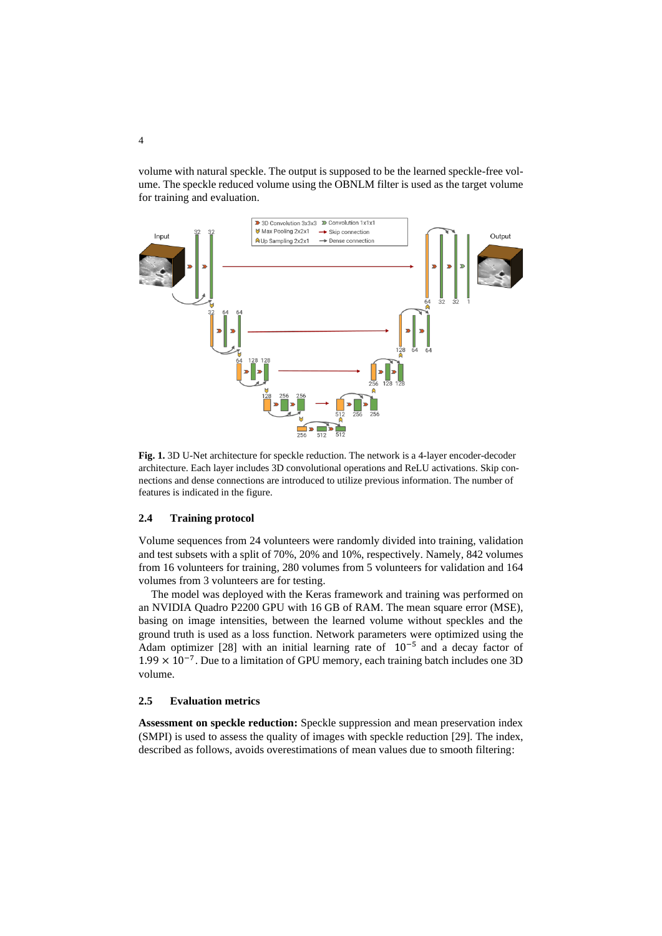volume with natural speckle. The output is supposed to be the learned speckle-free volume. The speckle reduced volume using the OBNLM filter is used as the target volume for training and evaluation.



**Fig. 1.** 3D U-Net architecture for speckle reduction. The network is a 4-layer encoder-decoder architecture. Each layer includes 3D convolutional operations and ReLU activations. Skip connections and dense connections are introduced to utilize previous information. The number of features is indicated in the figure.

## **2.4 Training protocol**

Volume sequences from 24 volunteers were randomly divided into training, validation and test subsets with a split of 70%, 20% and 10%, respectively. Namely, 842 volumes from 16 volunteers for training, 280 volumes from 5 volunteers for validation and 164 volumes from 3 volunteers are for testing.

The model was deployed with the Keras framework and training was performed on an NVIDIA Quadro P2200 GPU with 16 GB of RAM. The mean square error (MSE), basing on image intensities, between the learned volume without speckles and the ground truth is used as a loss function. Network parameters were optimized using the Adam optimizer [28] with an initial learning rate of 10−5 and a decay factor of 1.99 × 10−7 . Due to a limitation of GPU memory, each training batch includes one 3D volume.

## **2.5 Evaluation metrics**

**Assessment on speckle reduction:** Speckle suppression and mean preservation index (SMPI) is used to assess the quality of images with speckle reduction [29]. The index, described as follows, avoids overestimations of mean values due to smooth filtering: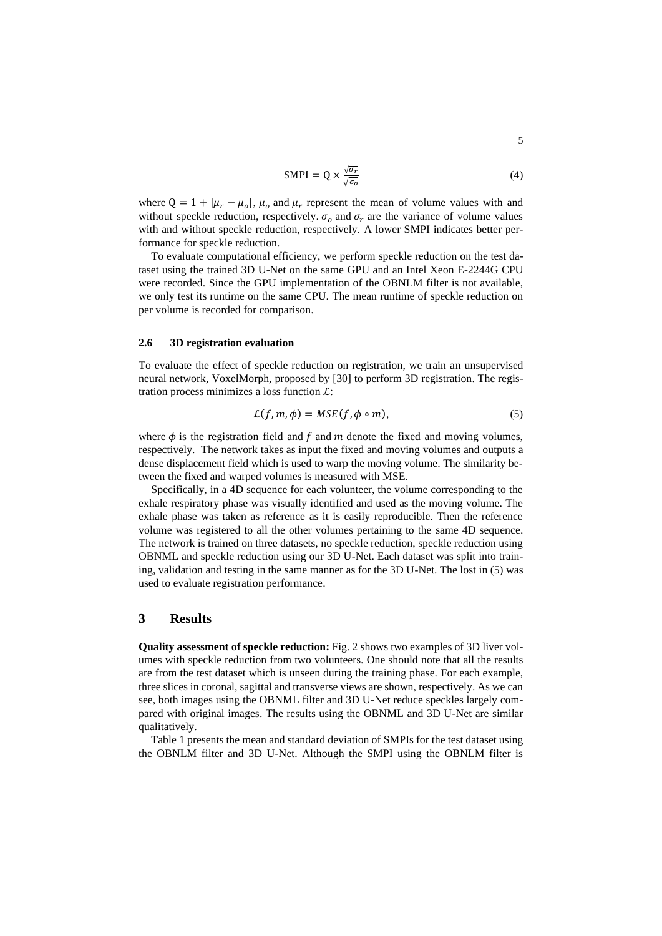$$
SMPI = Q \times \frac{\sqrt{\sigma_r}}{\sqrt{\sigma_o}} \tag{4}
$$

where  $Q = 1 + |\mu_r - \mu_o|$ ,  $\mu_o$  and  $\mu_r$  represent the mean of volume values with and without speckle reduction, respectively.  $\sigma_0$  and  $\sigma_r$  are the variance of volume values with and without speckle reduction, respectively. A lower SMPI indicates better performance for speckle reduction.

To evaluate computational efficiency, we perform speckle reduction on the test dataset using the trained 3D U-Net on the same GPU and an Intel Xeon E-2244G CPU were recorded. Since the GPU implementation of the OBNLM filter is not available, we only test its runtime on the same CPU. The mean runtime of speckle reduction on per volume is recorded for comparison.

#### **2.6 3D registration evaluation**

To evaluate the effect of speckle reduction on registration, we train an unsupervised neural network, VoxelMorph, proposed by [30] to perform 3D registration. The registration process minimizes a loss function  $\mathcal{L}$ :

$$
\mathcal{L}(f, m, \phi) = MSE(f, \phi \circ m), \tag{5}
$$

where  $\phi$  is the registration field and  $f$  and  $m$  denote the fixed and moving volumes, respectively. The network takes as input the fixed and moving volumes and outputs a dense displacement field which is used to warp the moving volume. The similarity between the fixed and warped volumes is measured with MSE.

Specifically, in a 4D sequence for each volunteer, the volume corresponding to the exhale respiratory phase was visually identified and used as the moving volume. The exhale phase was taken as reference as it is easily reproducible. Then the reference volume was registered to all the other volumes pertaining to the same 4D sequence. The network is trained on three datasets, no speckle reduction, speckle reduction using OBNML and speckle reduction using our 3D U-Net. Each dataset was split into training, validation and testing in the same manner as for the 3D U-Net. The lost in (5) was used to evaluate registration performance.

## **3 Results**

**Quality assessment of speckle reduction:** Fig. 2 shows two examples of 3D liver volumes with speckle reduction from two volunteers. One should note that all the results are from the test dataset which is unseen during the training phase. For each example, three slices in coronal, sagittal and transverse views are shown, respectively. As we can see, both images using the OBNML filter and 3D U-Net reduce speckles largely compared with original images. The results using the OBNML and 3D U-Net are similar qualitatively.

Table 1 presents the mean and standard deviation of SMPIs for the test dataset using the OBNLM filter and 3D U-Net. Although the SMPI using the OBNLM filter is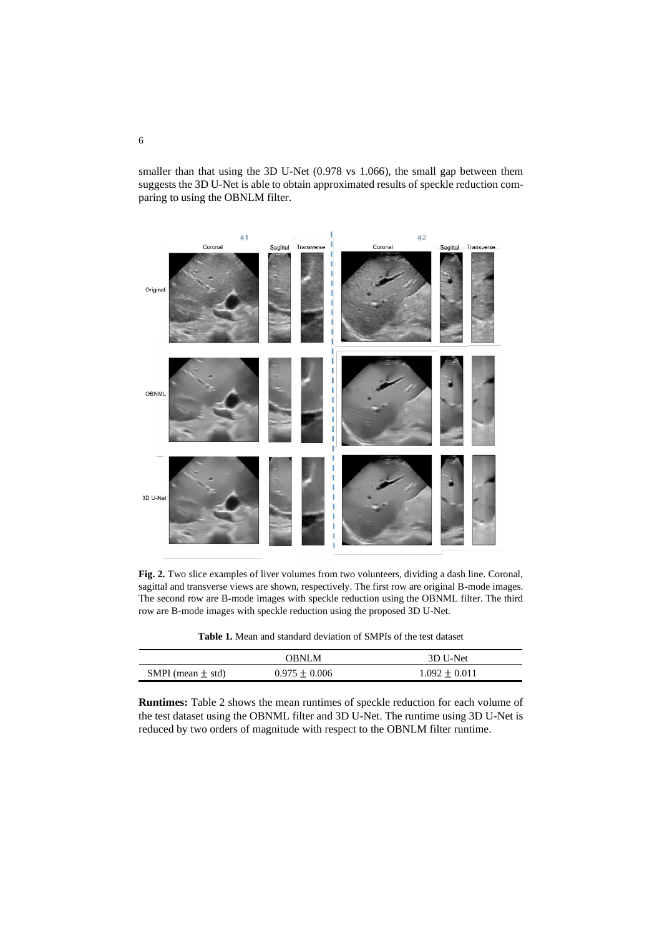smaller than that using the 3D U-Net (0.978 vs 1.066), the small gap between them suggests the 3D U-Net is able to obtain approximated results of speckle reduction comparing to using the OBNLM filter.



**Fig. 2.** Two slice examples of liver volumes from two volunteers, dividing a dash line. Coronal, sagittal and transverse views are shown, respectively. The first row are original B-mode images. The second row are B-mode images with speckle reduction using the OBNML filter. The third row are B-mode images with speckle reduction using the proposed 3D U-Net.

**Table 1.** Mean and standard deviation of SMPIs of the test dataset

|                       | <b>OBNLM</b>      | 3D U-Net          |
|-----------------------|-------------------|-------------------|
| SMPI (mean $\pm$ std) | $0.975 \pm 0.006$ | $1.092 \pm 0.011$ |

**Runtimes:** Table 2 shows the mean runtimes of speckle reduction for each volume of the test dataset using the OBNML filter and 3D U-Net. The runtime using 3D U-Net is reduced by two orders of magnitude with respect to the OBNLM filter runtime.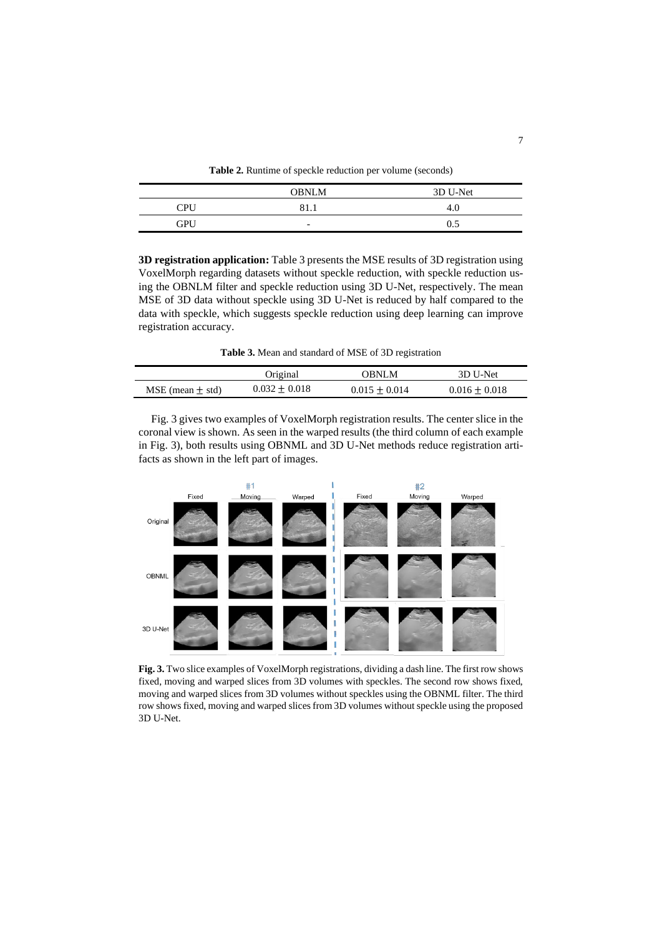**Table 2.** Runtime of speckle reduction per volume (seconds)

|            | <b>OBNLM</b>             | 3D U-Net |
|------------|--------------------------|----------|
| <b>CPU</b> | 81                       | 4        |
| GPU        | $\overline{\phantom{0}}$ | ሰ ና      |

**3D registration application:** Table 3 presents the MSE results of 3D registration using VoxelMorph regarding datasets without speckle reduction, with speckle reduction using the OBNLM filter and speckle reduction using 3D U-Net, respectively. The mean MSE of 3D data without speckle using 3D U-Net is reduced by half compared to the data with speckle, which suggests speckle reduction using deep learning can improve registration accuracy.

**Table 3.** Mean and standard of MSE of 3D registration

|                      | Original          | OBNLM           | 3D U-Net          |
|----------------------|-------------------|-----------------|-------------------|
| MSE (mean $\pm$ std) | $0.032 \pm 0.018$ | $0.015 + 0.014$ | $0.016 \pm 0.018$ |

Fig. 3 gives two examples of VoxelMorph registration results. The center slice in the coronal view is shown. As seen in the warped results (the third column of each example in Fig. 3), both results using OBNML and 3D U-Net methods reduce registration artifacts as shown in the left part of images.



**Fig. 3.** Two slice examples of VoxelMorph registrations, dividing a dash line. The first row shows fixed, moving and warped slices from 3D volumes with speckles. The second row shows fixed, moving and warped slices from 3D volumes without speckles using the OBNML filter. The third row shows fixed, moving and warped slices from 3D volumes without speckle using the proposed 3D U-Net.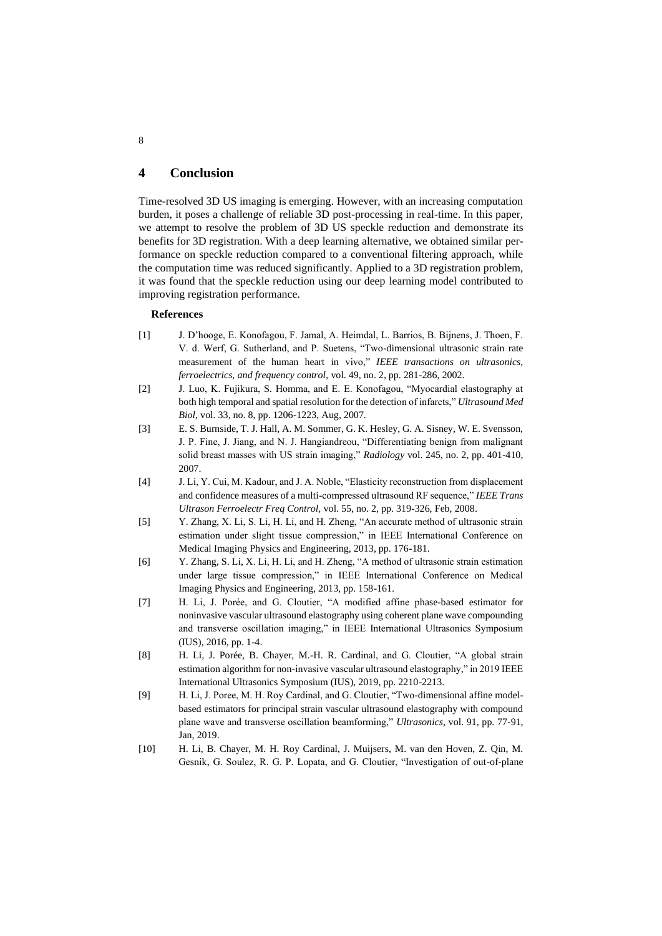# **4 Conclusion**

Time-resolved 3D US imaging is emerging. However, with an increasing computation burden, it poses a challenge of reliable 3D post-processing in real-time. In this paper, we attempt to resolve the problem of 3D US speckle reduction and demonstrate its benefits for 3D registration. With a deep learning alternative, we obtained similar performance on speckle reduction compared to a conventional filtering approach, while the computation time was reduced significantly. Applied to a 3D registration problem, it was found that the speckle reduction using our deep learning model contributed to improving registration performance.

### **References**

- [1] J. D'hooge, E. Konofagou, F. Jamal, A. Heimdal, L. Barrios, B. Bijnens, J. Thoen, F. V. d. Werf, G. Sutherland, and P. Suetens, "Two-dimensional ultrasonic strain rate measurement of the human heart in vivo," *IEEE transactions on ultrasonics, ferroelectrics, and frequency control,* vol. 49, no. 2, pp. 281-286, 2002.
- [2] J. Luo, K. Fujikura, S. Homma, and E. E. Konofagou, "Myocardial elastography at both high temporal and spatial resolution for the detection of infarcts," *Ultrasound Med Biol,* vol. 33, no. 8, pp. 1206-1223, Aug, 2007.
- [3] E. S. Burnside, T. J. Hall, A. M. Sommer, G. K. Hesley, G. A. Sisney, W. E. Svensson, J. P. Fine, J. Jiang, and N. J. Hangiandreou, "Differentiating benign from malignant solid breast masses with US strain imaging," *Radiology* vol. 245, no. 2, pp. 401-410, 2007.
- [4] J. Li, Y. Cui, M. Kadour, and J. A. Noble, "Elasticity reconstruction from displacement and confidence measures of a multi-compressed ultrasound RF sequence," *IEEE Trans Ultrason Ferroelectr Freq Control,* vol. 55, no. 2, pp. 319-326, Feb, 2008.
- [5] Y. Zhang, X. Li, S. Li, H. Li, and H. Zheng, "An accurate method of ultrasonic strain estimation under slight tissue compression," in IEEE International Conference on Medical Imaging Physics and Engineering, 2013, pp. 176-181.
- [6] Y. Zhang, S. Li, X. Li, H. Li, and H. Zheng, "A method of ultrasonic strain estimation under large tissue compression," in IEEE International Conference on Medical Imaging Physics and Engineering, 2013, pp. 158-161.
- [7] H. Li, J. Porée, and G. Cloutier, "A modified affine phase-based estimator for noninvasive vascular ultrasound elastography using coherent plane wave compounding and transverse oscillation imaging," in IEEE International Ultrasonics Symposium (IUS), 2016, pp. 1-4.
- [8] H. Li, J. Porée, B. Chayer, M.-H. R. Cardinal, and G. Cloutier, "A global strain estimation algorithm for non-invasive vascular ultrasound elastography," in 2019 IEEE International Ultrasonics Symposium (IUS), 2019, pp. 2210-2213.
- [9] H. Li, J. Poree, M. H. Roy Cardinal, and G. Cloutier, "Two-dimensional affine modelbased estimators for principal strain vascular ultrasound elastography with compound plane wave and transverse oscillation beamforming," *Ultrasonics,* vol. 91, pp. 77-91, Jan, 2019.
- [10] H. Li, B. Chayer, M. H. Roy Cardinal, J. Muijsers, M. van den Hoven, Z. Qin, M. Gesnik, G. Soulez, R. G. P. Lopata, and G. Cloutier, "Investigation of out-of-plane

8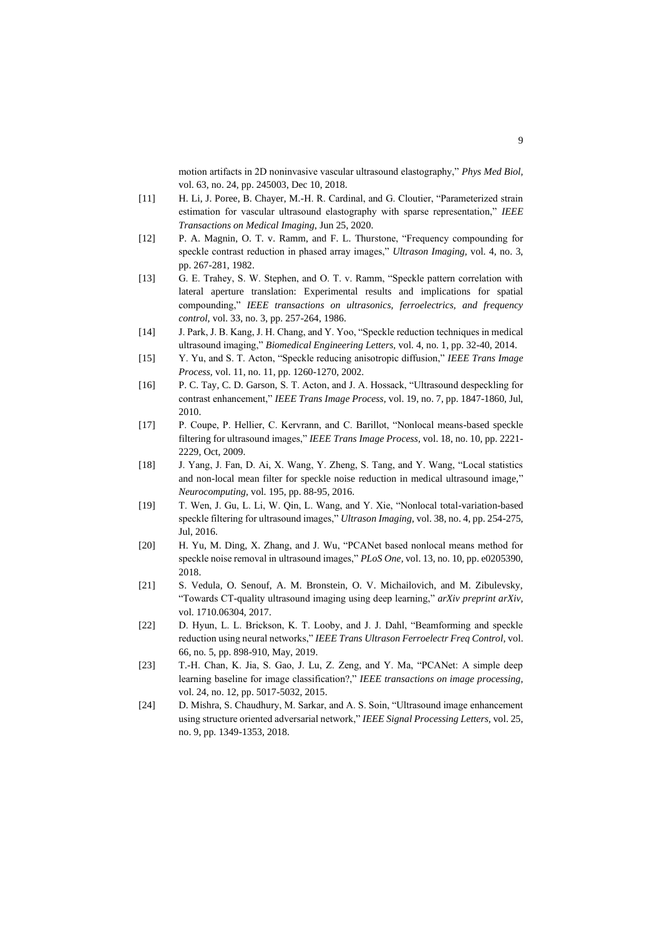motion artifacts in 2D noninvasive vascular ultrasound elastography," *Phys Med Biol,* vol. 63, no. 24, pp. 245003, Dec 10, 2018.

- [11] H. Li, J. Poree, B. Chayer, M.-H. R. Cardinal, and G. Cloutier, "Parameterized strain estimation for vascular ultrasound elastography with sparse representation," *IEEE Transactions on Medical Imaging*, Jun 25, 2020.
- [12] P. A. Magnin, O. T. v. Ramm, and F. L. Thurstone, "Frequency compounding for speckle contrast reduction in phased array images," *Ultrason Imaging,* vol. 4, no. 3, pp. 267-281, 1982.
- [13] G. E. Trahey, S. W. Stephen, and O. T. v. Ramm, "Speckle pattern correlation with lateral aperture translation: Experimental results and implications for spatial compounding," *IEEE transactions on ultrasonics, ferroelectrics, and frequency control,* vol. 33, no. 3, pp. 257-264, 1986.
- [14] J. Park, J. B. Kang, J. H. Chang, and Y. Yoo, "Speckle reduction techniques in medical ultrasound imaging," *Biomedical Engineering Letters,* vol. 4, no. 1, pp. 32-40, 2014.
- [15] Y. Yu, and S. T. Acton, "Speckle reducing anisotropic diffusion," *IEEE Trans Image Process,* vol. 11, no. 11, pp. 1260-1270, 2002.
- [16] P. C. Tay, C. D. Garson, S. T. Acton, and J. A. Hossack, "Ultrasound despeckling for contrast enhancement," *IEEE Trans Image Process,* vol. 19, no. 7, pp. 1847-1860, Jul, 2010.
- [17] P. Coupe, P. Hellier, C. Kervrann, and C. Barillot, "Nonlocal means-based speckle filtering for ultrasound images," *IEEE Trans Image Process,* vol. 18, no. 10, pp. 2221- 2229, Oct, 2009.
- [18] J. Yang, J. Fan, D. Ai, X. Wang, Y. Zheng, S. Tang, and Y. Wang, "Local statistics and non-local mean filter for speckle noise reduction in medical ultrasound image," *Neurocomputing,* vol. 195, pp. 88-95, 2016.
- [19] T. Wen, J. Gu, L. Li, W. Qin, L. Wang, and Y. Xie, "Nonlocal total-variation-based speckle filtering for ultrasound images," *Ultrason Imaging,* vol. 38, no. 4, pp. 254-275, Jul, 2016.
- [20] H. Yu, M. Ding, X. Zhang, and J. Wu, "PCANet based nonlocal means method for speckle noise removal in ultrasound images," *PLoS One,* vol. 13, no. 10, pp. e0205390, 2018.
- [21] S. Vedula, O. Senouf, A. M. Bronstein, O. V. Michailovich, and M. Zibulevsky, "Towards CT-quality ultrasound imaging using deep learning," *arXiv preprint arXiv,* vol. 1710.06304, 2017.
- [22] D. Hyun, L. L. Brickson, K. T. Looby, and J. J. Dahl, "Beamforming and speckle reduction using neural networks," *IEEE Trans Ultrason Ferroelectr Freq Control,* vol. 66, no. 5, pp. 898-910, May, 2019.
- [23] T.-H. Chan, K. Jia, S. Gao, J. Lu, Z. Zeng, and Y. Ma, "PCANet: A simple deep learning baseline for image classification?," *IEEE transactions on image processing,* vol. 24, no. 12, pp. 5017-5032, 2015.
- [24] D. Mishra, S. Chaudhury, M. Sarkar, and A. S. Soin, "Ultrasound image enhancement using structure oriented adversarial network," *IEEE Signal Processing Letters,* vol. 25, no. 9, pp. 1349-1353, 2018.